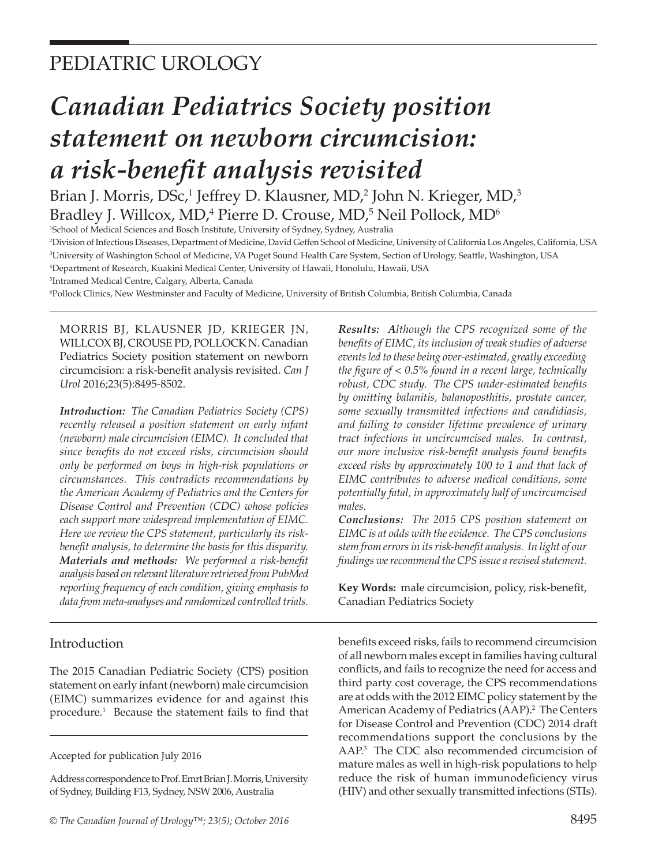# PEDIATRIC UROLOGY

# *Canadian Pediatrics Society position statement on newborn circumcision: a risk-benefit analysis revisited*

Brian J. Morris, DSc,<sup>1</sup> Jeffrey D. Klausner, MD,<sup>2</sup> John N. Krieger, MD,<sup>3</sup> Bradley J. Willcox, MD,<sup>4</sup> Pierre D. Crouse, MD,<sup>5</sup> Neil Pollock, MD<sup>6</sup>

 School of Medical Sciences and Bosch Institute, University of Sydney, Sydney, Australia Division of Infectious Diseases, Department of Medicine, David Geffen School of Medicine, University of California Los Angeles, California, USA University of Washington School of Medicine, VA Puget Sound Health Care System, Section of Urology, Seattle, Washington, USA Department of Research, Kuakini Medical Center, University of Hawaii, Honolulu, Hawaii, USA

5 Intramed Medical Centre, Calgary, Alberta, Canada

6 Pollock Clinics, New Westminster and Faculty of Medicine, University of British Columbia, British Columbia, Canada

MORRIS BJ, KLAUSNER JD, KRIEGER JN, WILLCOX BJ, CROUSE PD, POLLOCK N. Canadian Pediatrics Society position statement on newborn circumcision: a risk-benefit analysis revisited. *Can J Urol* 2016;23(5):8495-8502.

*Introduction: The Canadian Pediatrics Society (CPS) recently released a position statement on early infant (newborn) male circumcision (EIMC). It concluded that since benefits do not exceed risks, circumcision should only be performed on boys in high-risk populations or circumstances. This contradicts recommendations by the American Academy of Pediatrics and the Centers for Disease Control and Prevention (CDC) whose policies each support more widespread implementation of EIMC. Here we review the CPS statement, particularly its riskbenefit analysis, to determine the basis for this disparity. Materials and methods: We performed a risk-benefit analysis based on relevant literature retrieved from PubMed reporting frequency of each condition, giving emphasis to data from meta-analyses and randomized controlled trials.* 

#### Introduction

The 2015 Canadian Pediatric Society (CPS) position statement on early infant (newborn) male circumcision (EIMC) summarizes evidence for and against this procedure.1 Because the statement fails to find that

Address correspondence to Prof. Emrt Brian J. Morris, University of Sydney, Building F13, Sydney, NSW 2006, Australia

*Results: Although the CPS recognized some of the benefits of EIMC, its inclusion of weak studies of adverse events led to these being over-estimated, greatly exceeding the figure of < 0.5% found in a recent large, technically robust, CDC study. The CPS under-estimated benefits by omitting balanitis, balanoposthitis, prostate cancer, some sexually transmitted infections and candidiasis, and failing to consider lifetime prevalence of urinary tract infections in uncircumcised males. In contrast, our more inclusive risk-benefit analysis found benefits exceed risks by approximately 100 to 1 and that lack of EIMC contributes to adverse medical conditions, some potentially fatal, in approximately half of uncircumcised males.* 

*Conclusions: The 2015 CPS position statement on EIMC is at odds with the evidence. The CPS conclusions stem from errors in its risk-benefit analysis. In light of our findings we recommend the CPS issue a revised statement.*

**Key Words:** male circumcision, policy, risk-benefit, Canadian Pediatrics Society

benefits exceed risks, fails to recommend circumcision of all newborn males except in families having cultural conflicts, and fails to recognize the need for access and third party cost coverage, the CPS recommendations are at odds with the 2012 EIMC policy statement by the American Academy of Pediatrics (AAP).<sup>2</sup> The Centers for Disease Control and Prevention (CDC) 2014 draft recommendations support the conclusions by the AAP.3 The CDC also recommended circumcision of mature males as well in high-risk populations to help reduce the risk of human immunodeficiency virus (HIV) and other sexually transmitted infections (STIs).

Accepted for publication July 2016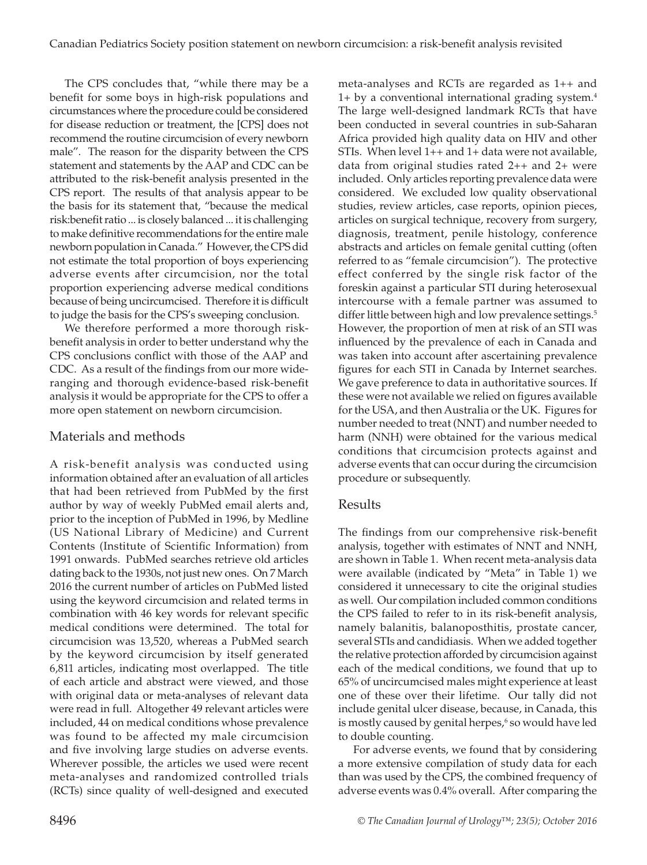The CPS concludes that, "while there may be a benefit for some boys in high-risk populations and circumstances where the procedure could be considered for disease reduction or treatment, the [CPS] does not recommend the routine circumcision of every newborn male". The reason for the disparity between the CPS statement and statements by the AAP and CDC can be attributed to the risk-benefit analysis presented in the CPS report. The results of that analysis appear to be the basis for its statement that, "because the medical risk:benefit ratio ... is closely balanced ... it is challenging to make definitive recommendations for the entire male newborn population in Canada." However, the CPS did not estimate the total proportion of boys experiencing adverse events after circumcision, nor the total proportion experiencing adverse medical conditions because of being uncircumcised. Therefore it is difficult to judge the basis for the CPS's sweeping conclusion.

We therefore performed a more thorough riskbenefit analysis in order to better understand why the CPS conclusions conflict with those of the AAP and CDC. As a result of the findings from our more wideranging and thorough evidence-based risk-benefit analysis it would be appropriate for the CPS to offer a more open statement on newborn circumcision.

#### Materials and methods

A risk-benefit analysis was conducted using information obtained after an evaluation of all articles that had been retrieved from PubMed by the first author by way of weekly PubMed email alerts and, prior to the inception of PubMed in 1996, by Medline (US National Library of Medicine) and Current Contents (Institute of Scientific Information) from 1991 onwards. PubMed searches retrieve old articles dating back to the 1930s, not just new ones. On 7 March 2016 the current number of articles on PubMed listed using the keyword circumcision and related terms in combination with 46 key words for relevant specific medical conditions were determined. The total for circumcision was 13,520, whereas a PubMed search by the keyword circumcision by itself generated 6,811 articles, indicating most overlapped. The title of each article and abstract were viewed, and those with original data or meta-analyses of relevant data were read in full. Altogether 49 relevant articles were included, 44 on medical conditions whose prevalence was found to be affected my male circumcision and five involving large studies on adverse events. Wherever possible, the articles we used were recent meta-analyses and randomized controlled trials (RCTs) since quality of well-designed and executed

meta-analyses and RCTs are regarded as 1++ and 1+ by a conventional international grading system.4 The large well-designed landmark RCTs that have been conducted in several countries in sub-Saharan Africa provided high quality data on HIV and other STIs. When level 1++ and 1+ data were not available, data from original studies rated 2++ and 2+ were included. Only articles reporting prevalence data were considered. We excluded low quality observational studies, review articles, case reports, opinion pieces, articles on surgical technique, recovery from surgery, diagnosis, treatment, penile histology, conference abstracts and articles on female genital cutting (often referred to as "female circumcision"). The protective effect conferred by the single risk factor of the foreskin against a particular STI during heterosexual intercourse with a female partner was assumed to differ little between high and low prevalence settings.<sup>5</sup> However, the proportion of men at risk of an STI was influenced by the prevalence of each in Canada and was taken into account after ascertaining prevalence figures for each STI in Canada by Internet searches. We gave preference to data in authoritative sources. If these were not available we relied on figures available for the USA, and then Australia or the UK. Figures for number needed to treat (NNT) and number needed to harm (NNH) were obtained for the various medical conditions that circumcision protects against and adverse events that can occur during the circumcision procedure or subsequently.

# Results

The findings from our comprehensive risk-benefit analysis, together with estimates of NNT and NNH, are shown in Table 1. When recent meta-analysis data were available (indicated by "Meta" in Table 1) we considered it unnecessary to cite the original studies as well. Our compilation included common conditions the CPS failed to refer to in its risk-benefit analysis, namely balanitis, balanoposthitis, prostate cancer, several STIs and candidiasis. When we added together the relative protection afforded by circumcision against each of the medical conditions, we found that up to 65% of uncircumcised males might experience at least one of these over their lifetime. Our tally did not include genital ulcer disease, because, in Canada, this is mostly caused by genital herpes,<sup>6</sup> so would have led to double counting.

For adverse events, we found that by considering a more extensive compilation of study data for each than was used by the CPS, the combined frequency of adverse events was 0.4% overall. After comparing the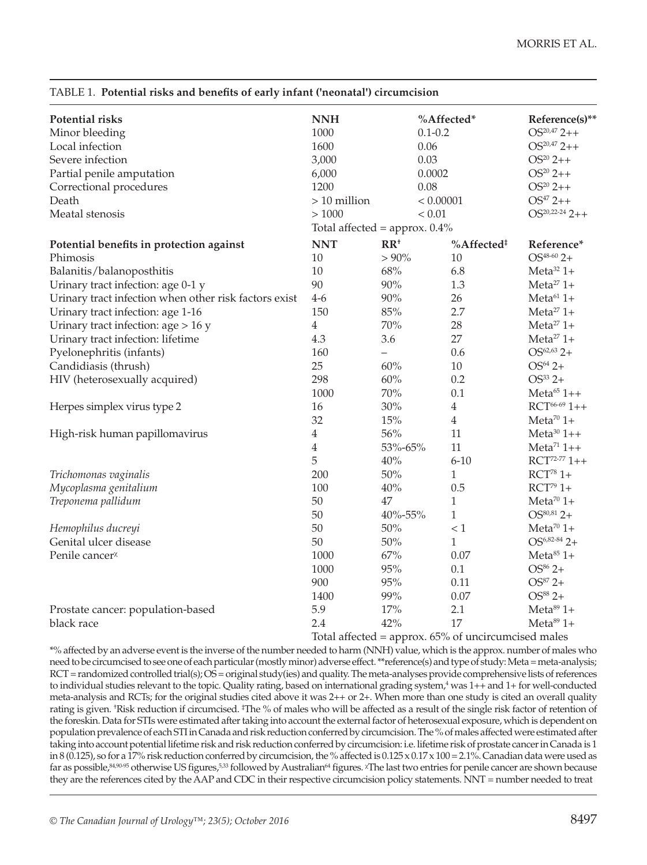| <b>Potential risks</b>                                | <b>NNH</b>                                               |                          | %Affected*             | Reference(s)**           |
|-------------------------------------------------------|----------------------------------------------------------|--------------------------|------------------------|--------------------------|
| Minor bleeding                                        | 1000                                                     |                          | $0.1 - 0.2$            | $OS20,47 2++$            |
| Local infection                                       | 1600                                                     | 0.06                     |                        | $OS20,47 2++$            |
| Severe infection                                      | 3,000                                                    | 0.03                     |                        | $OS^{20} 2++$            |
| Partial penile amputation                             | 6,000                                                    |                          | 0.0002                 | $OS^{20} 2++$            |
| Correctional procedures                               | 1200<br>0.08                                             |                          | $OS^{20} 2++$          |                          |
| Death                                                 | $>10$ million                                            | < 0.00001                |                        | $OS^{47} 2++$            |
| Meatal stenosis                                       | >1000                                                    | < 0.01                   |                        | $OS20,22-242++$          |
|                                                       | Total affected = $approx. 0.4\%$                         |                          |                        |                          |
| Potential benefits in protection against              | <b>NNT</b>                                               | $RR^+$                   | %Affected <sup>#</sup> | Reference*               |
| Phimosis                                              | 10                                                       | $> 90\%$                 | 10                     | $OS^{48-60}$ 2+          |
| Balanitis/balanoposthitis                             | 10                                                       | 68%                      | 6.8                    | Meta <sup>32</sup> $1+$  |
| Urinary tract infection: age 0-1 y                    | 90                                                       | $90\%$                   | 1.3                    | $Meta^{27}$ 1+           |
| Urinary tract infection when other risk factors exist | $4-6$                                                    | $90\%$                   | 26                     | Meta $61$ 1+             |
| Urinary tract infection: age 1-16                     | 150                                                      | $85\%$                   | 2.7                    | Meta <sup>27</sup> $1+$  |
| Urinary tract infection: age $> 16$ y                 | $\overline{4}$                                           | 70%                      | 28                     | Meta <sup>27</sup> $1+$  |
| Urinary tract infection: lifetime                     | 4.3                                                      | 3.6                      | 27                     | Meta <sup>27</sup> $1+$  |
| Pyelonephritis (infants)                              | 160                                                      | $\overline{\phantom{0}}$ | 0.6                    | $OS62,63 2+$             |
| Candidiasis (thrush)                                  | 25                                                       | 60%                      | 10                     | $OS^{64} 2+$             |
| HIV (heterosexually acquired)                         | 298                                                      | 60%                      | 0.2                    | $OS^{33} 2+$             |
|                                                       | 1000                                                     | $70\%$                   | 0.1                    | Meta $65$ 1++            |
| Herpes simplex virus type 2                           | 16                                                       | 30%                      | $\overline{4}$         | $RCT^{66-69}$ 1++        |
|                                                       | 32                                                       | 15%                      | $\overline{4}$         | Meta <sup>70</sup> $1+$  |
| High-risk human papillomavirus                        | $\overline{4}$                                           | 56%                      | 11                     | $Meta^{30}$ 1++          |
|                                                       | $\overline{4}$                                           | 53%-65%                  | 11                     | Meta <sup>71</sup> $1++$ |
|                                                       | 5                                                        | 40%                      | $6 - 10$               | $RCT^{72-77}$ 1++        |
| Trichomonas vaginalis                                 | 200                                                      | $50\%$                   | $\mathbf{1}$           | $RCT^{78}$ 1+            |
| Mycoplasma genitalium                                 | 100                                                      | $40\%$                   | 0.5                    | $RCT^{79}$ 1+            |
| Treponema pallidum                                    | 50                                                       | 47                       | $\mathbf{1}$           | Meta <sup>70</sup> $1+$  |
|                                                       | 50                                                       | 40%-55%                  | $\mathbf{1}$           | $OS^{80,81}$ 2+          |
| Hemophilus ducreyi                                    | 50                                                       | $50\%$                   | < 1                    | Meta <sup>70</sup> $1+$  |
| Genital ulcer disease                                 | 50                                                       | $50\%$                   | $\mathbf{1}$           | $OS^{6,82-84}$ 2+        |
| Penile cancer <sup>x</sup>                            | 1000                                                     | 67%                      | 0.07                   | Meta <sup>85</sup> $1+$  |
|                                                       | 1000                                                     | 95%                      | 0.1                    | $OS^{86} 2+$             |
|                                                       | 900                                                      | 95%                      | 0.11                   | $OS^{87} 2+$             |
|                                                       | 1400                                                     | 99%                      | 0.07                   | $OS^{88} 2+$             |
| Prostate cancer: population-based                     | 5.9                                                      | 17%                      | 2.1                    | $Meta891+$               |
| black race                                            | 2.4                                                      | 42%                      | 17                     | Meta <sup>89</sup> $1+$  |
|                                                       | $Total$ effected – enneave $65\%$ of uncircumgized males |                          |                        |                          |

TABLE 1. **Potential risks and benefits of early infant ('neonatal') circumcision**

Total affected = approx. 65% of uncircumcised males \*% affected by an adverse event is the inverse of the number needed to harm (NNH) value, which is the approx. number of males who need to be circumcised to see one of each particular (mostly minor) adverse effect. \*\*reference(s) and type of study: Meta = meta-analysis;  $RCT$  = randomized controlled trial(s);  $\overline{OS}$  = original study(ies) and quality. The meta-analyses provide comprehensive lists of references to individual studies relevant to the topic. Quality rating, based on international grading system,<sup>4</sup> was 1++ and 1+ for well-conducted meta-analysis and RCTs; for the original studies cited above it was 2++ or 2+. When more than one study is cited an overall quality rating is given. †Risk reduction if circumcised. ‡The % of males who will be affected as a result of the single risk factor of retention of the foreskin. Data for STIs were estimated after taking into account the external factor of heterosexual exposure, which is dependent on population prevalence of each STI in Canada and risk reduction conferred by circumcision. The % of males affected were estimated after taking into account potential lifetime risk and risk reduction conferred by circumcision: i.e. lifetime risk of prostate cancer in Canada is 1 in 8 (0.125), so for a 17% risk reduction conferred by circumcision, the % affected is  $0.125 \times 0.17 \times 100 = 2.1$ %. Canadian data were used as far as possible,<sup>84,90-95</sup> otherwise US figures,<sup>5,33</sup> followed by Australian<sup>64</sup> figures. <sup>χ</sup>The last two entries for penile cancer are shown because they are the references cited by the AAP and CDC in their respective circumcision policy statements. NNT = number needed to treat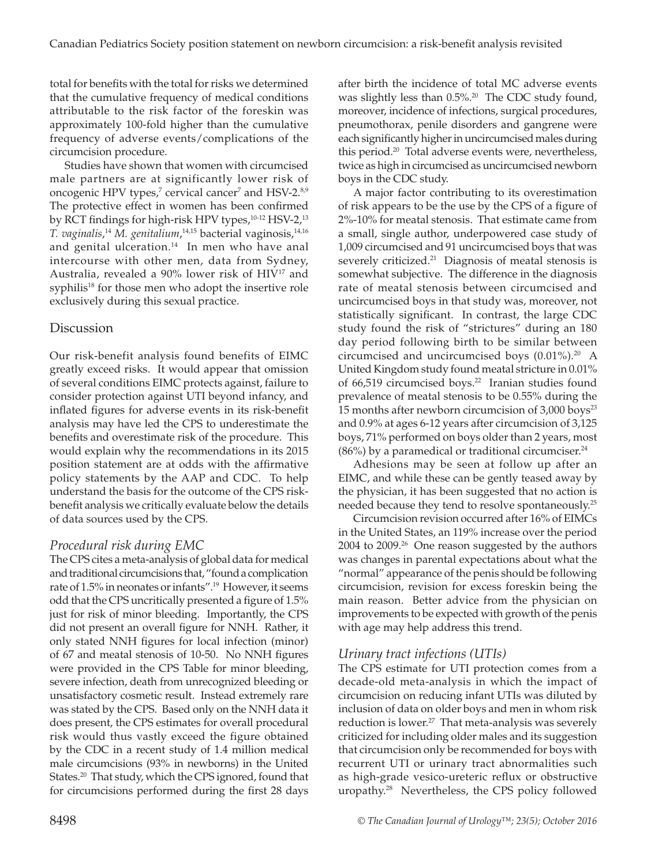total for benefits with the total for risks we determined that the cumulative frequency of medical conditions attributable to the risk factor of the foreskin was approximately 100-fold higher than the cumulative frequency of adverse events/complications of the circumcision procedure.

Studies have shown that women with circumcised male partners are at significantly lower risk of oncogenic HPV types,<sup>7</sup> cervical cancer<sup>7</sup> and HSV-2.<sup>8,9</sup> The protective effect in women has been confirmed by RCT findings for high-risk HPV types,<sup>10-12</sup> HSV-2,<sup>13</sup> *T. vaginalis*, <sup>14</sup> *M. genitalium*, 14,15 bacterial vaginosis,14,16 and genital ulceration.<sup>14</sup> In men who have anal intercourse with other men, data from Sydney, Australia, revealed a 90% lower risk of HIV17 and syphilis<sup>18</sup> for those men who adopt the insertive role exclusively during this sexual practice.

### **Discussion**

Our risk-benefit analysis found benefits of EIMC greatly exceed risks. It would appear that omission of several conditions EIMC protects against, failure to consider protection against UTI beyond infancy, and inflated figures for adverse events in its risk-benefit analysis may have led the CPS to underestimate the benefits and overestimate risk of the procedure. This would explain why the recommendations in its 2015 position statement are at odds with the affirmative policy statements by the AAP and CDC. To help understand the basis for the outcome of the CPS riskbenefit analysis we critically evaluate below the details of data sources used by the CPS.

# *Procedural risk during EMC*

The CPS cites a meta-analysis of global data for medical and traditional circumcisions that, "found a complication rate of 1.5% in neonates or infants".19 However, it seems odd that the CPS uncritically presented a figure of 1.5% just for risk of minor bleeding. Importantly, the CPS did not present an overall figure for NNH. Rather, it only stated NNH figures for local infection (minor) of 67 and meatal stenosis of 10-50. No NNH figures were provided in the CPS Table for minor bleeding, severe infection, death from unrecognized bleeding or unsatisfactory cosmetic result. Instead extremely rare was stated by the CPS. Based only on the NNH data it does present, the CPS estimates for overall procedural risk would thus vastly exceed the figure obtained by the CDC in a recent study of 1.4 million medical male circumcisions (93% in newborns) in the United States.<sup>20</sup> That study, which the CPS ignored, found that for circumcisions performed during the first 28 days

after birth the incidence of total MC adverse events was slightly less than 0.5%.<sup>20</sup> The CDC study found, moreover, incidence of infections, surgical procedures, pneumothorax, penile disorders and gangrene were each significantly higher in uncircumcised males during this period.20 Total adverse events were, nevertheless, twice as high in circumcised as uncircumcised newborn boys in the CDC study.

A major factor contributing to its overestimation of risk appears to be the use by the CPS of a figure of 2%-10% for meatal stenosis. That estimate came from a small, single author, underpowered case study of 1,009 circumcised and 91 uncircumcised boys that was severely criticized.<sup>21</sup> Diagnosis of meatal stenosis is somewhat subjective. The difference in the diagnosis rate of meatal stenosis between circumcised and uncircumcised boys in that study was, moreover, not statistically significant. In contrast, the large CDC study found the risk of "strictures" during an 180 day period following birth to be similar between circumcised and uncircumcised boys (0.01%).20 A United Kingdom study found meatal stricture in 0.01% of 66,519 circumcised boys.<sup>22</sup> Iranian studies found prevalence of meatal stenosis to be 0.55% during the 15 months after newborn circumcision of 3,000 boys<sup>23</sup> and 0.9% at ages 6-12 years after circumcision of 3,125 boys, 71% performed on boys older than 2 years, most  $(86%)$  by a paramedical or traditional circumciser.<sup>24</sup>

Adhesions may be seen at follow up after an EIMC, and while these can be gently teased away by the physician, it has been suggested that no action is needed because they tend to resolve spontaneously.<sup>25</sup>

Circumcision revision occurred after 16% of EIMCs in the United States, an 119% increase over the period 2004 to 2009.<sup>26</sup> One reason suggested by the authors was changes in parental expectations about what the "normal" appearance of the penis should be following circumcision, revision for excess foreskin being the main reason. Better advice from the physician on improvements to be expected with growth of the penis with age may help address this trend.

# *Urinary tract infections (UTIs)*

The CPS estimate for UTI protection comes from a decade-old meta-analysis in which the impact of circumcision on reducing infant UTIs was diluted by inclusion of data on older boys and men in whom risk reduction is lower.<sup>27</sup> That meta-analysis was severely criticized for including older males and its suggestion that circumcision only be recommended for boys with recurrent UTI or urinary tract abnormalities such as high-grade vesico-ureteric reflux or obstructive uropathy.28 Nevertheless, the CPS policy followed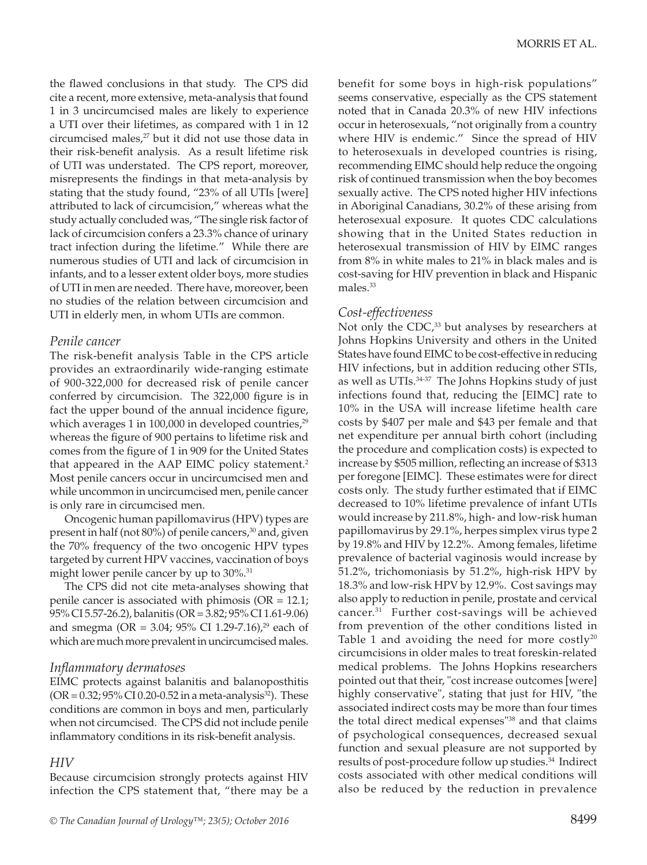the flawed conclusions in that study. The CPS did cite a recent, more extensive, meta-analysis that found 1 in 3 uncircumcised males are likely to experience a UTI over their lifetimes, as compared with 1 in 12 circumcised males,<sup>27</sup> but it did not use those data in their risk-benefit analysis. As a result lifetime risk of UTI was understated. The CPS report, moreover, misrepresents the findings in that meta-analysis by stating that the study found, "23% of all UTIs [were] attributed to lack of circumcision," whereas what the study actually concluded was, "The single risk factor of lack of circumcision confers a 23.3% chance of urinary tract infection during the lifetime." While there are numerous studies of UTI and lack of circumcision in infants, and to a lesser extent older boys, more studies of UTI in men are needed. There have, moreover, been no studies of the relation between circumcision and UTI in elderly men, in whom UTIs are common.

#### *Penile cancer*

The risk-benefit analysis Table in the CPS article provides an extraordinarily wide-ranging estimate of 900-322,000 for decreased risk of penile cancer conferred by circumcision. The 322,000 figure is in fact the upper bound of the annual incidence figure, which averages 1 in 100,000 in developed countries, $29$ whereas the figure of 900 pertains to lifetime risk and comes from the figure of 1 in 909 for the United States that appeared in the AAP EIMC policy statement.<sup>2</sup> Most penile cancers occur in uncircumcised men and while uncommon in uncircumcised men, penile cancer is only rare in circumcised men.

Oncogenic human papillomavirus (HPV) types are present in half (not 80%) of penile cancers,<sup>30</sup> and, given the 70% frequency of the two oncogenic HPV types targeted by current HPV vaccines, vaccination of boys might lower penile cancer by up to 30%.<sup>31</sup>

The CPS did not cite meta-analyses showing that penile cancer is associated with phimosis ( $OR = 12.1$ ; 95% CI 5.57-26.2), balanitis (OR = 3.82; 95% CI 1.61-9.06) and smegma (OR = 3.04; 95% CI 1.29-7.16),<sup>29</sup> each of which are much more prevalent in uncircumcised males.

#### *Inflammatory dermatoses*

EIMC protects against balanitis and balanoposthitis  $(OR = 0.32; 95\% CI 0.20-0.52$  in a meta-analysis<sup>32</sup>). These conditions are common in boys and men, particularly when not circumcised. The CPS did not include penile inflammatory conditions in its risk-benefit analysis.

#### *HIV*

Because circumcision strongly protects against HIV infection the CPS statement that, "there may be a benefit for some boys in high-risk populations" seems conservative, especially as the CPS statement noted that in Canada 20.3% of new HIV infections occur in heterosexuals, "not originally from a country where HIV is endemic." Since the spread of HIV to heterosexuals in developed countries is rising, recommending EIMC should help reduce the ongoing risk of continued transmission when the boy becomes sexually active. The CPS noted higher HIV infections in Aboriginal Canadians, 30.2% of these arising from heterosexual exposure. It quotes CDC calculations showing that in the United States reduction in heterosexual transmission of HIV by EIMC ranges from 8% in white males to 21% in black males and is cost-saving for HIV prevention in black and Hispanic males.<sup>33</sup>

#### *Cost-effectiveness*

Not only the  $CDC<sub>1</sub><sup>33</sup>$  but analyses by researchers at Johns Hopkins University and others in the United States have found EIMC to be cost-effective in reducing HIV infections, but in addition reducing other STIs, as well as UTIs.<sup>34-37</sup> The Johns Hopkins study of just infections found that, reducing the [EIMC] rate to 10% in the USA will increase lifetime health care costs by \$407 per male and \$43 per female and that net expenditure per annual birth cohort (including the procedure and complication costs) is expected to increase by \$505 million, reflecting an increase of \$313 per foregone [EIMC]. These estimates were for direct costs only. The study further estimated that if EIMC decreased to 10% lifetime prevalence of infant UTIs would increase by 211.8%, high- and low-risk human papillomavirus by 29.1%, herpes simplex virus type 2 by 19.8% and HIV by 12.2%. Among females, lifetime prevalence of bacterial vaginosis would increase by 51.2%, trichomoniasis by 51.2%, high-risk HPV by 18.3% and low-risk HPV by 12.9%. Cost savings may also apply to reduction in penile, prostate and cervical cancer.<sup>31</sup> Further cost-savings will be achieved from prevention of the other conditions listed in Table 1 and avoiding the need for more costly<sup>20</sup> circumcisions in older males to treat foreskin-related medical problems. The Johns Hopkins researchers pointed out that their, "cost increase outcomes [were] highly conservative", stating that just for HIV, "the associated indirect costs may be more than four times the total direct medical expenses"38 and that claims of psychological consequences, decreased sexual function and sexual pleasure are not supported by results of post-procedure follow up studies.<sup>34</sup> Indirect costs associated with other medical conditions will also be reduced by the reduction in prevalence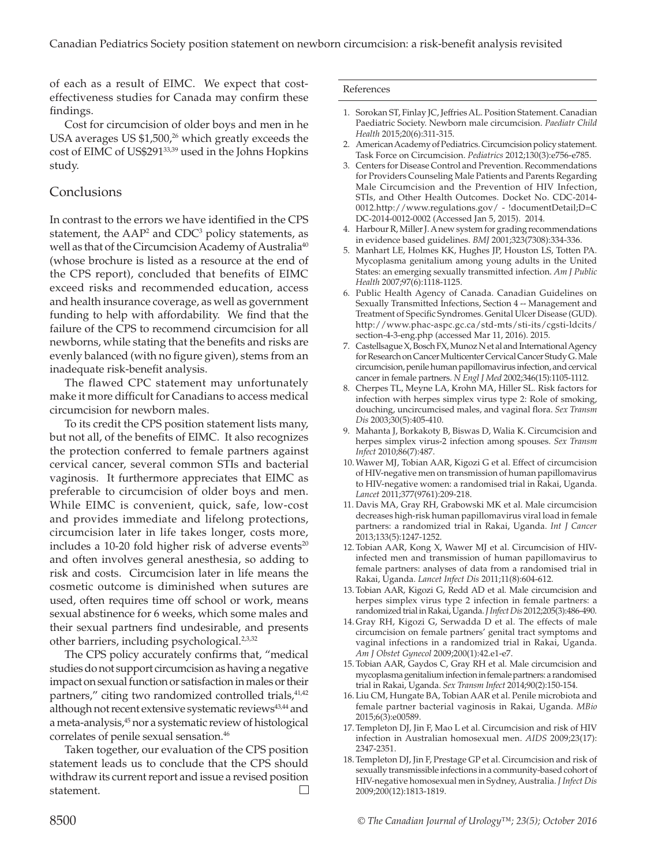of each as a result of EIMC. We expect that costeffectiveness studies for Canada may confirm these findings.

Cost for circumcision of older boys and men in he USA averages US  $$1,500$ ,<sup>26</sup> which greatly exceeds the cost of EIMC of US\$29133,39 used in the Johns Hopkins study.

## Conclusions

In contrast to the errors we have identified in the CPS statement, the  $\text{AP}^2$  and  $\text{CDC}^3$  policy statements, as well as that of the Circumcision Academy of Australia<sup>40</sup> (whose brochure is listed as a resource at the end of the CPS report), concluded that benefits of EIMC exceed risks and recommended education, access and health insurance coverage, as well as government funding to help with affordability. We find that the failure of the CPS to recommend circumcision for all newborns, while stating that the benefits and risks are evenly balanced (with no figure given), stems from an inadequate risk-benefit analysis.

The flawed CPC statement may unfortunately make it more difficult for Canadians to access medical circumcision for newborn males.

To its credit the CPS position statement lists many, but not all, of the benefits of EIMC. It also recognizes the protection conferred to female partners against cervical cancer, several common STIs and bacterial vaginosis. It furthermore appreciates that EIMC as preferable to circumcision of older boys and men. While EIMC is convenient, quick, safe, low-cost and provides immediate and lifelong protections, circumcision later in life takes longer, costs more, includes a 10-20 fold higher risk of adverse events $20$ and often involves general anesthesia, so adding to risk and costs. Circumcision later in life means the cosmetic outcome is diminished when sutures are used, often requires time off school or work, means sexual abstinence for 6 weeks, which some males and their sexual partners find undesirable, and presents other barriers, including psychological.2,3,32

The CPS policy accurately confirms that, "medical studies do not support circumcision as having a negative impact on sexual function or satisfaction in males or their partners," citing two randomized controlled trials,<sup>41,42</sup> although not recent extensive systematic reviews<sup>43,44</sup> and a meta-analysis,<sup>45</sup> nor a systematic review of histological correlates of penile sexual sensation.<sup>46</sup>

Taken together, our evaluation of the CPS position statement leads us to conclude that the CPS should withdraw its current report and issue a revised position statement.

#### References

- 1. Sorokan ST, Finlay JC, Jeffries AL. Position Statement. Canadian Paediatric Society. Newborn male circumcision. *Paediatr Child Health* 2015;20(6):311-315.
- 2. American Academy of Pediatrics. Circumcision policy statement. Task Force on Circumcision. *Pediatrics* 2012;130(3):e756-e785.
- 3. Centers for Disease Control and Prevention. Recommendations for Providers Counseling Male Patients and Parents Regarding Male Circumcision and the Prevention of HIV Infection, STIs, and Other Health Outcomes. Docket No. CDC-2014- 0012.http://www.regulations.gov/ - !documentDetail;D=C DC-2014-0012-0002 (Accessed Jan 5, 2015). 2014.
- 4. Harbour R, Miller J. A new system for grading recommendations in evidence based guidelines. *BMJ* 2001;323(7308):334-336.
- 5. Manhart LE, Holmes KK, Hughes JP, Houston LS, Totten PA. Mycoplasma genitalium among young adults in the United States: an emerging sexually transmitted infection. *Am J Public Health* 2007;97(6):1118-1125.
- 6. Public Health Agency of Canada. Canadian Guidelines on Sexually Transmitted Infections, Section 4 -- Management and Treatment of Specific Syndromes. Genital Ulcer Disease (GUD). http://www.phac-aspc.gc.ca/std-mts/sti-its/cgsti-ldcits/ section-4-3-eng.php (accessed Mar 11, 2016). 2015.
- 7. Castellsague X, Bosch FX, Munoz N et al and International Agency for Research on Cancer Multicenter Cervical Cancer Study G. Male circumcision, penile human papillomavirus infection, and cervical cancer in female partners. *N Engl J Med* 2002;346(15):1105-1112.
- 8. Cherpes TL, Meyne LA, Krohn MA, Hiller SL. Risk factors for infection with herpes simplex virus type 2: Role of smoking, douching, uncircumcised males, and vaginal flora. *Sex Transm Dis* 2003;30(5):405-410.
- 9. Mahanta J, Borkakoty B, Biswas D, Walia K. Circumcision and herpes simplex virus-2 infection among spouses. *Sex Transm Infect* 2010;86(7):487.
- 10.Wawer MJ, Tobian AAR, Kigozi G et al. Effect of circumcision of HIV-negative men on transmission of human papillomavirus to HIV-negative women: a randomised trial in Rakai, Uganda. *Lancet* 2011;377(9761):209-218.
- 11. Davis MA, Gray RH, Grabowski MK et al. Male circumcision decreases high-risk human papillomavirus viral load in female partners: a randomized trial in Rakai, Uganda. *Int J Cancer* 2013;133(5):1247-1252.
- 12. Tobian AAR, Kong X, Wawer MJ et al. Circumcision of HIVinfected men and transmission of human papillomavirus to female partners: analyses of data from a randomised trial in Rakai, Uganda. *Lancet Infect Dis* 2011;11(8):604-612.
- 13. Tobian AAR, Kigozi G, Redd AD et al. Male circumcision and herpes simplex virus type 2 infection in female partners: a randomized trial in Rakai, Uganda. *J Infect Dis* 2012;205(3):486-490.
- 14. Gray RH, Kigozi G, Serwadda D et al. The effects of male circumcision on female partners' genital tract symptoms and vaginal infections in a randomized trial in Rakai, Uganda. *Am J Obstet Gynecol* 2009;200(1):42.e1-e7.
- 15. Tobian AAR, Gaydos C, Gray RH et al. Male circumcision and mycoplasma genitalium infection in female partners: a randomised trial in Rakai, Uganda. *Sex Transm Infect* 2014;90(2):150-154.
- 16. Liu CM, Hungate BA, Tobian AAR et al. Penile microbiota and female partner bacterial vaginosis in Rakai, Uganda. *MBio* 2015;6(3):e00589.
- 17. Templeton DJ, Jin F, Mao L et al. Circumcision and risk of HIV infection in Australian homosexual men. *AIDS* 2009;23(17): 2347-2351.
- 18. Templeton DJ, Jin F, Prestage GP et al. Circumcision and risk of sexually transmissible infections in a community-based cohort of HIV-negative homosexual men in Sydney, Australia. *J Infect Dis* 2009;200(12):1813-1819.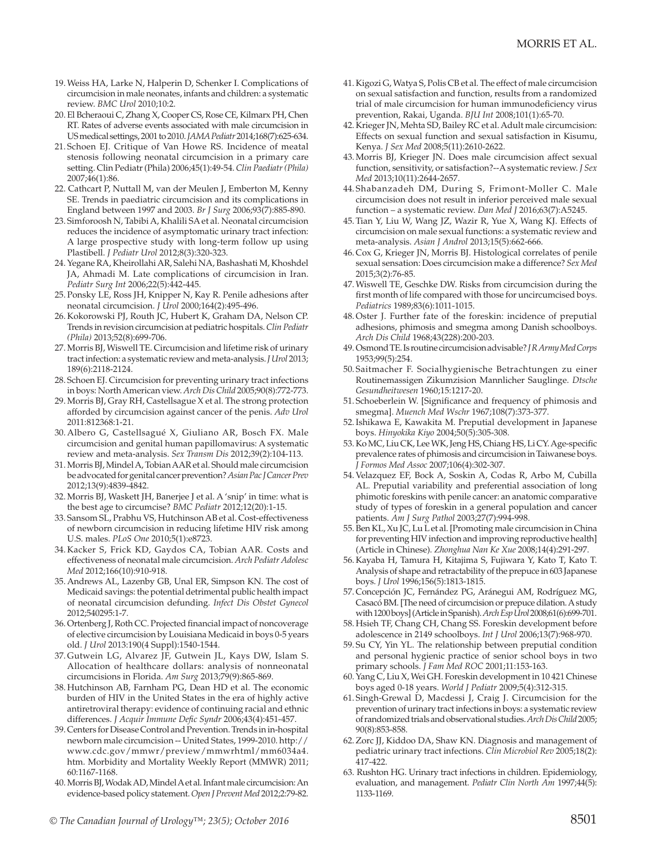- 19.Weiss HA, Larke N, Halperin D, Schenker I. Complications of circumcision in male neonates, infants and children: a systematic review. *BMC Urol* 2010;10:2.
- 20. El Bcheraoui C, Zhang X, Cooper CS, Rose CE, Kilmarx PH, Chen RT. Rates of adverse events associated with male circumcision in US medical settings, 2001 to 2010. *JAMA Pediatr* 2014;168(7):625-634.
- 21. Schoen EJ. Critique of Van Howe RS. Incidence of meatal stenosis following neonatal circumcision in a primary care setting. Clin Pediatr (Phila) 2006;45(1):49-54. *Clin Paediatr (Phila)* 2007;46(1):86.
- 22. Cathcart P, Nuttall M, van der Meulen J, Emberton M, Kenny SE. Trends in paediatric circumcision and its complications in England between 1997 and 2003. *Br J Surg* 2006;93(7):885-890.
- 23. Simforoosh N, Tabibi A, Khalili SA et al. Neonatal circumcision reduces the incidence of asymptomatic urinary tract infection: A large prospective study with long-term follow up using Plastibell. *J Pediatr Urol* 2012;8(3):320-323.
- 24.Yegane RA, Kheirollahi AR, Salehi NA, Bashashati M, Khoshdel JA, Ahmadi M. Late complications of circumcision in Iran. *Pediatr Surg Int* 2006;22(5):442-445.
- 25. Ponsky LE, Ross JH, Knipper N, Kay R. Penile adhesions after neonatal circumcision. *J Urol* 2000;164(2):495-496.
- 26. Kokorowski PJ, Routh JC, Hubert K, Graham DA, Nelson CP. Trends in revision circumcision at pediatric hospitals. *Clin Pediatr (Phila)* 2013;52(8):699-706.
- 27.Morris BJ, Wiswell TE. Circumcision and lifetime risk of urinary tract infection: a systematic review and meta-analysis. *J Urol* 2013; 189(6):2118-2124.
- 28. Schoen EJ. Circumcision for preventing urinary tract infections in boys: North American view. *Arch Dis Child* 2005;90(8):772-773.
- 29.Morris BJ, Gray RH, Castellsague X et al. The strong protection afforded by circumcision against cancer of the penis. *Adv Urol*  2011:812368:1-21.
- 30. Albero G, Castellsagué X, Giuliano AR, Bosch FX. Male circumcision and genital human papillomavirus: A systematic review and meta-analysis. *Sex Transm Dis* 2012;39(2):104-113.
- 31.Morris BJ, Mindel A, Tobian AAR et al. Should male circumcision be advocated for genital cancer prevention? *Asian Pac J Cancer Prev* 2012;13(9):4839-4842.
- 32.Morris BJ, Waskett JH, Banerjee J et al. A 'snip' in time: what is the best age to circumcise? *BMC Pediatr* 2012;12(20):1-15.
- 33. Sansom SL, Prabhu VS, Hutchinson AB et al. Cost-effectiveness of newborn circumcision in reducing lifetime HIV risk among U.S. males. *PLoS One* 2010;5(1):e8723.
- 34. Kacker S, Frick KD, Gaydos CA, Tobian AAR. Costs and effectiveness of neonatal male circumcision. *Arch Pediatr Adolesc Med* 2012;166(10):910-918.
- 35. Andrews AL, Lazenby GB, Unal ER, Simpson KN. The cost of Medicaid savings: the potential detrimental public health impact of neonatal circumcision defunding. *Infect Dis Obstet Gynecol* 2012;540295:1-7.
- 36.Ortenberg J, Roth CC. Projected financial impact of noncoverage of elective circumcision by Louisiana Medicaid in boys 0-5 years old. *J Urol* 2013:190(4 Suppl):1540-1544.
- 37. Gutwein LG, Alvarez JF, Gutwein JL, Kays DW, Islam S. Allocation of healthcare dollars: analysis of nonneonatal circumcisions in Florida. *Am Surg* 2013;79(9):865-869.
- 38. Hutchinson AB, Farnham PG, Dean HD et al. The economic burden of HIV in the United States in the era of highly active antiretroviral therapy: evidence of continuing racial and ethnic differences. *J Acquir Immune Defic Syndr* 2006;43(4):451-457.
- 39. Centers for Disease Control and Prevention. Trends in in-hospital newborn male circumcision -- United States, 1999-2010. http:// www.cdc.gov/mmwr/preview/mmwrhtml/mm6034a4. htm. Morbidity and Mortality Weekly Report (MMWR) 2011; 60:1167-1168.
- 40.Morris BJ, Wodak AD, Mindel A et al. Infant male circumcision: An evidence-based policy statement. *Open J Prevent Med* 2012;2:79-82.
- 41. Kigozi G, Watya S, Polis CB et al. The effect of male circumcision on sexual satisfaction and function, results from a randomized trial of male circumcision for human immunodeficiency virus prevention, Rakai, Uganda. *BJU Int* 2008;101(1):65-70.
- 42. Krieger JN, Mehta SD, Bailey RC et al. Adult male circumcision: Effects on sexual function and sexual satisfaction in Kisumu, Kenya. *J Sex Med* 2008;5(11):2610-2622.
- 43.Morris BJ, Krieger JN. Does male circumcision affect sexual function, sensitivity, or satisfaction?--A systematic review. *J Sex Med* 2013;10(11):2644-2657.
- 44. Shabanzadeh DM, During S, Frimont-Moller C. Male circumcision does not result in inferior perceived male sexual function – a systematic review. *Dan Med J* 2016;63(7):A5245.
- 45. Tian Y, Liu W, Wang JZ, Wazir R, Yue X, Wang KJ. Effects of circumcision on male sexual functions: a systematic review and meta-analysis. *Asian J Androl* 2013;15(5):662-666.
- 46. Cox G, Krieger JN, Morris BJ. Histological correlates of penile sexual sensation: Does circumcision make a difference? *Sex Med*  2015;3(2):76-85.
- 47.Wiswell TE, Geschke DW. Risks from circumcision during the first month of life compared with those for uncircumcised boys. *Pediatrics* 1989;83(6):1011-1015.
- 48.Oster J. Further fate of the foreskin: incidence of preputial adhesions, phimosis and smegma among Danish schoolboys. *Arch Dis Child* 1968;43(228):200-203.
- 49.Osmond TE. Is routine circumcision advisable? *J R Army Med Corps* 1953;99(5):254.
- 50. Saitmacher F. Socialhygienische Betrachtungen zu einer Routinemassigen Zikumzision Mannlicher Sauglinge. *Dtsche Gesundheitwesen* 1960;15:1217-20.
- 51. Schoeberlein W. [Significance and frequency of phimosis and smegma]. *Muench Med Wschr* 1967;108(7):373-377.
- 52.Ishikawa E, Kawakita M. Preputial development in Japanese boys. *Hinyokika Kiyo* 2004;50(5):305-308.
- 53. Ko MC, Liu CK, Lee WK, Jeng HS, Chiang HS, Li CY. Age-specific prevalence rates of phimosis and circumcision in Taiwanese boys. *J Formos Med Assoc* 2007;106(4):302-307.
- 54. Velazquez EF, Bock A, Soskin A, Codas R, Arbo M, Cubilla AL. Preputial variability and preferential association of long phimotic foreskins with penile cancer: an anatomic comparative study of types of foreskin in a general population and cancer patients. *Am J Surg Pathol* 2003;27(7):994-998.
- 55. Ben KL, Xu JC, Lu L et al. [Promoting male circumcision in China for preventing HIV infection and improving reproductive health] (Article in Chinese). *Zhonghua Nan Ke Xue* 2008;14(4):291-297.
- 56. Kayaba H, Tamura H, Kitajima S, Fujiwara Y, Kato T, Kato T. Analysis of shape and retractability of the prepuce in 603 Japanese boys. *J Urol* 1996;156(5):1813-1815.
- 57. Concepción JC, Fernández PG, Aránegui AM, Rodríguez MG, Casacó BM. [The need of circumcision or prepuce dilation. A study with 1200 boys] (Article in Spanish). *Arch Esp Urol* 2008;61(6):699-701.
- 58. Hsieh TF, Chang CH, Chang SS. Foreskin development before adolescence in 2149 schoolboys. *Int J Urol* 2006;13(7):968-970.
- 59. Su CY, Yin YL. The relationship between preputial condition and personal hygienic practice of senior school boys in two primary schools. *J Fam Med ROC* 2001;11:153-163.
- 60.Yang C, Liu X, Wei GH. Foreskin development in 10 421 Chinese boys aged 0-18 years. *World J Pediatr* 2009;5(4):312-315.
- 61. Singh-Grewal D, Macdessi J, Craig J. Circumcision for the prevention of urinary tract infections in boys: a systematic review of randomized trials and observational studies. *Arch Dis Child* 2005; 90(8):853-858.
- 62.Zorc JJ, Kiddoo DA, Shaw KN. Diagnosis and management of pediatric urinary tract infections. *Clin Microbiol Rev* 2005;18(2): 417-422.
- 63. Rushton HG. Urinary tract infections in children. Epidemiology, evaluation, and management. *Pediatr Clin North Am* 1997;44(5): 1133-1169.